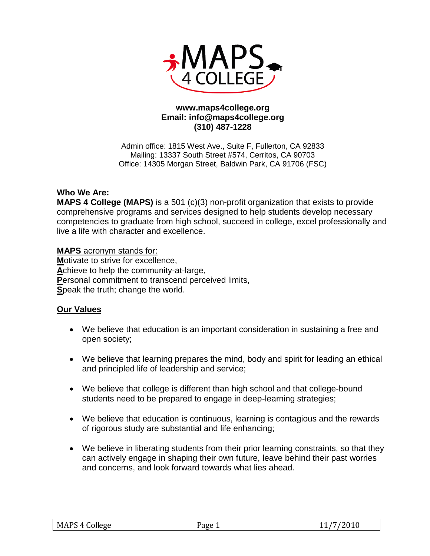

## **www.maps4college.org Email: info@maps4college.org (310) 487-1228**

Admin office: 1815 West Ave., Suite F, Fullerton, CA 92833 Mailing: 13337 South Street #574, Cerritos, CA 90703 Office: 14305 Morgan Street, Baldwin Park, CA 91706 (FSC)

# **Who We Are:**

**MAPS 4 College (MAPS)** is a 501 (c)(3) non-profit organization that exists to provide comprehensive programs and services designed to help students develop necessary competencies to graduate from high school, succeed in college, excel professionally and live a life with character and excellence.

**MAPS** acronym stands for: **M**otivate to strive for excellence, **A**chieve to help the community-at-large, **P**ersonal commitment to transcend perceived limits, **S**peak the truth; change the world.

## **Our Values**

- We believe that education is an important consideration in sustaining a free and open society;
- We believe that learning prepares the mind, body and spirit for leading an ethical and principled life of leadership and service;
- We believe that college is different than high school and that college-bound students need to be prepared to engage in deep-learning strategies;
- We believe that education is continuous, learning is contagious and the rewards of rigorous study are substantial and life enhancing;
- We believe in liberating students from their prior learning constraints, so that they can actively engage in shaping their own future, leave behind their past worries and concerns, and look forward towards what lies ahead.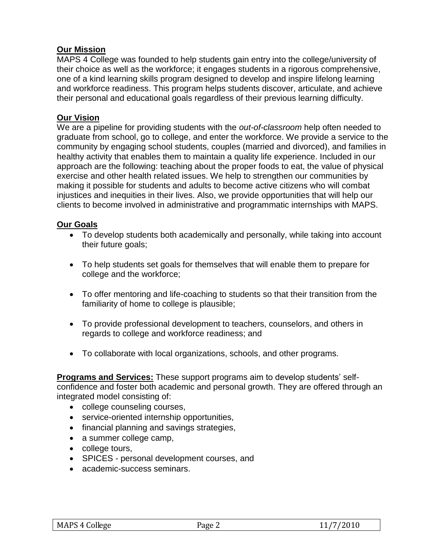# **Our Mission**

MAPS 4 College was founded to help students gain entry into the college/university of their choice as well as the workforce; it engages students in a rigorous comprehensive, one of a kind learning skills program designed to develop and inspire lifelong learning and workforce readiness. This program helps students discover, articulate, and achieve their personal and educational goals regardless of their previous learning difficulty.

## **Our Vision**

We are a pipeline for providing students with the *out-of-classroom* help often needed to graduate from school, go to college, and enter the workforce. We provide a service to the community by engaging school students, couples (married and divorced), and families in healthy activity that enables them to maintain a quality life experience. Included in our approach are the following: teaching about the proper foods to eat, the value of physical exercise and other health related issues. We help to strengthen our communities by making it possible for students and adults to become active citizens who will combat injustices and inequities in their lives. Also, we provide opportunities that will help our clients to become involved in administrative and programmatic internships with MAPS.

#### **Our Goals**

- To develop students both academically and personally, while taking into account their future goals;
- To help students set goals for themselves that will enable them to prepare for college and the workforce;
- To offer mentoring and life-coaching to students so that their transition from the familiarity of home to college is plausible;
- To provide professional development to teachers, counselors, and others in regards to college and workforce readiness; and
- To collaborate with local organizations, schools, and other programs.

**Programs and Services:** These support programs aim to develop students' selfconfidence and foster both academic and personal growth. They are offered through an integrated model consisting of:

- college counseling courses,
- service-oriented internship opportunities,
- financial planning and savings strategies,
- a summer college camp,
- college tours,
- SPICES personal development courses, and
- academic-success seminars.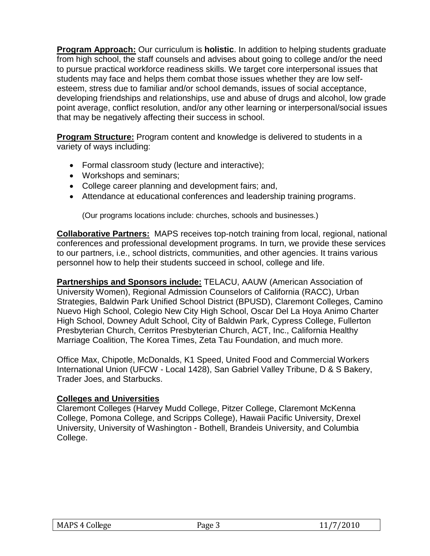**Program Approach:** Our curriculum is **holistic**. In addition to helping students graduate from high school, the staff counsels and advises about going to college and/or the need to pursue practical workforce readiness skills. We target core interpersonal issues that students may face and helps them combat those issues whether they are low selfesteem, stress due to familiar and/or school demands, issues of social acceptance, developing friendships and relationships, use and abuse of drugs and alcohol, low grade point average, conflict resolution, and/or any other learning or interpersonal/social issues that may be negatively affecting their success in school.

**Program Structure:** Program content and knowledge is delivered to students in a variety of ways including:

- Formal classroom study (lecture and interactive);
- Workshops and seminars;
- College career planning and development fairs; and,
- Attendance at educational conferences and leadership training programs.

(Our programs locations include: churches, schools and businesses.)

**Collaborative Partners:** MAPS receives top-notch training from local, regional, national conferences and professional development programs. In turn, we provide these services to our partners, i.e., school districts, communities, and other agencies. It trains various personnel how to help their students succeed in school, college and life.

**Partnerships and Sponsors include:** TELACU, AAUW (American Association of University Women), Regional Admission Counselors of California (RACC), Urban Strategies, Baldwin Park Unified School District (BPUSD), Claremont Colleges, Camino Nuevo High School, Colegio New City High School, Oscar Del La Hoya Animo Charter High School, Downey Adult School, City of Baldwin Park, Cypress College, Fullerton Presbyterian Church, Cerritos Presbyterian Church, ACT, Inc., California Healthy Marriage Coalition, The Korea Times, Zeta Tau Foundation, and much more.

Office Max, Chipotle, McDonalds, K1 Speed, United Food and Commercial Workers International Union (UFCW - Local 1428), San Gabriel Valley Tribune, D & S Bakery, Trader Joes, and Starbucks.

# **Colleges and Universities**

Claremont Colleges (Harvey Mudd College, Pitzer College, Claremont McKenna College, Pomona College, and Scripps College), Hawaii Pacific University, Drexel University, University of Washington - Bothell, Brandeis University, and Columbia College.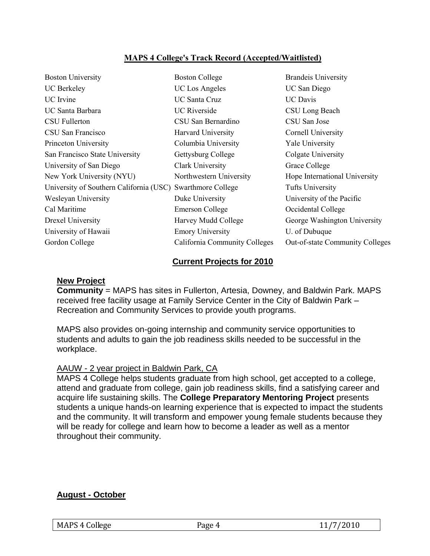# **MAPS 4 College's Track Record (Accepted/Waitlisted)**

| <b>Boston University</b>                                   | <b>Boston College</b>         | <b>Brandeis University</b>             |
|------------------------------------------------------------|-------------------------------|----------------------------------------|
| <b>UC</b> Berkeley                                         | <b>UC</b> Los Angeles         | UC San Diego                           |
| UC Irvine                                                  | <b>UC Santa Cruz</b>          | <b>UC</b> Davis                        |
| UC Santa Barbara                                           | <b>UC</b> Riverside           | CSU Long Beach                         |
| <b>CSU Fullerton</b>                                       | CSU San Bernardino            | CSU San Jose                           |
| CSU San Francisco                                          | <b>Harvard University</b>     | Cornell University                     |
| Princeton University                                       | Columbia University           | Yale University                        |
| San Francisco State University                             | Gettysburg College            | Colgate University                     |
| University of San Diego                                    | Clark University              | Grace College                          |
| New York University (NYU)                                  | Northwestern University       | Hope International University          |
| University of Southern California (USC) Swarthmore College |                               | Tufts University                       |
| Wesleyan University                                        | Duke University               | University of the Pacific              |
| Cal Maritime                                               | Emerson College               | Occidental College                     |
| Drexel University                                          | Harvey Mudd College           | George Washington University           |
| University of Hawaii                                       | <b>Emory University</b>       | U. of Dubuque                          |
| Gordon College                                             | California Community Colleges | <b>Out-of-state Community Colleges</b> |
|                                                            |                               |                                        |

#### **Current Projects for 2010**

#### **New Project**

**Community** = MAPS has sites in Fullerton, Artesia, Downey, and Baldwin Park. MAPS received free facility usage at Family Service Center in the City of Baldwin Park – Recreation and Community Services to provide youth programs.

MAPS also provides on-going internship and community service opportunities to students and adults to gain the job readiness skills needed to be successful in the workplace.

## AAUW - 2 year project in Baldwin Park, CA

MAPS 4 College helps students graduate from high school, get accepted to a college, attend and graduate from college, gain job readiness skills, find a satisfying career and acquire life sustaining skills. The **College Preparatory Mentoring Project** presents students a unique hands-on learning experience that is expected to impact the students and the community. It will transform and empower young female students because they will be ready for college and learn how to become a leader as well as a mentor throughout their community.

## **August - October**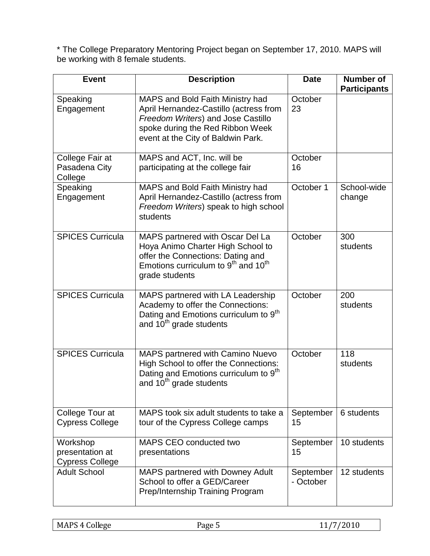\* The College Preparatory Mentoring Project began on September 17, 2010. MAPS will be working with 8 female students.

| <b>Event</b>                                          | <b>Description</b>                                                                                                                                                                          | <b>Date</b>            | <b>Number of</b><br><b>Participants</b> |
|-------------------------------------------------------|---------------------------------------------------------------------------------------------------------------------------------------------------------------------------------------------|------------------------|-----------------------------------------|
| Speaking<br>Engagement                                | MAPS and Bold Faith Ministry had<br>April Hernandez-Castillo (actress from<br>Freedom Writers) and Jose Castillo<br>spoke during the Red Ribbon Week<br>event at the City of Baldwin Park.  | October<br>23          |                                         |
| College Fair at<br>Pasadena City<br>College           | MAPS and ACT, Inc. will be<br>participating at the college fair                                                                                                                             | October<br>16          |                                         |
| Speaking<br>Engagement                                | MAPS and Bold Faith Ministry had<br>April Hernandez-Castillo (actress from<br>Freedom Writers) speak to high school<br>students                                                             | October 1              | School-wide<br>change                   |
| <b>SPICES Curricula</b>                               | MAPS partnered with Oscar Del La<br>Hoya Animo Charter High School to<br>offer the Connections: Dating and<br>Emotions curriculum to 9 <sup>th</sup> and 10 <sup>th</sup><br>grade students | October                | 300<br>students                         |
| <b>SPICES Curricula</b>                               | MAPS partnered with LA Leadership<br>Academy to offer the Connections:<br>Dating and Emotions curriculum to 9 <sup>th</sup><br>and 10 <sup>th</sup> grade students                          | October                | 200<br>students                         |
| <b>SPICES Curricula</b>                               | MAPS partnered with Camino Nuevo<br>High School to offer the Connections:<br>Dating and Emotions curriculum to 9 <sup>th</sup><br>and 10 <sup>th</sup> grade students                       | October                | 118<br>students                         |
| College Tour at<br><b>Cypress College</b>             | MAPS took six adult students to take a<br>tour of the Cypress College camps                                                                                                                 | September<br>15        | 6 students                              |
| Workshop<br>presentation at<br><b>Cypress College</b> | MAPS CEO conducted two<br>presentations                                                                                                                                                     | September<br>15        | 10 students                             |
| <b>Adult School</b>                                   | <b>MAPS partnered with Downey Adult</b><br>School to offer a GED/Career<br>Prep/Internship Training Program                                                                                 | September<br>- October | 12 students                             |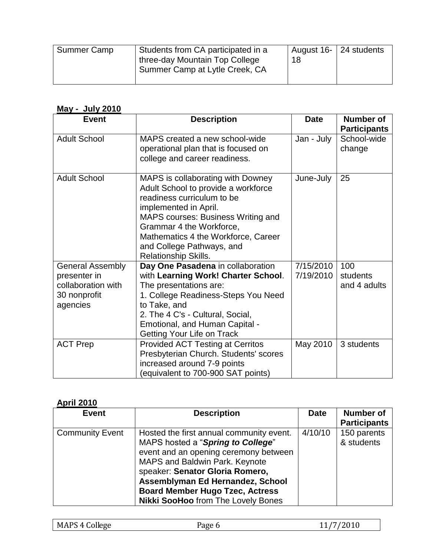| Summer Camp | Students from CA participated in a | August 16-   24 students |
|-------------|------------------------------------|--------------------------|
|             | three-day Mountain Top College     |                          |
|             | Summer Camp at Lytle Creek, CA     |                          |
|             |                                    |                          |

# **May - July 2010**

| <b>Event</b>                                                                              | <b>Description</b>                                                                                                                                                                                                                                                                            | <b>Date</b>            | <b>Number of</b><br><b>Participants</b> |
|-------------------------------------------------------------------------------------------|-----------------------------------------------------------------------------------------------------------------------------------------------------------------------------------------------------------------------------------------------------------------------------------------------|------------------------|-----------------------------------------|
| <b>Adult School</b>                                                                       | MAPS created a new school-wide<br>operational plan that is focused on<br>college and career readiness.                                                                                                                                                                                        | Jan - July             | School-wide<br>change                   |
| <b>Adult School</b>                                                                       | MAPS is collaborating with Downey<br>Adult School to provide a workforce<br>readiness curriculum to be<br>implemented in April.<br>MAPS courses: Business Writing and<br>Grammar 4 the Workforce,<br>Mathematics 4 the Workforce, Career<br>and College Pathways, and<br>Relationship Skills. | June-July              | 25                                      |
| <b>General Assembly</b><br>presenter in<br>collaboration with<br>30 nonprofit<br>agencies | Day One Pasadena in collaboration<br>with Learning Work! Charter School.<br>The presentations are:<br>1. College Readiness-Steps You Need<br>to Take, and<br>2. The 4 C's - Cultural, Social,<br>Emotional, and Human Capital -<br><b>Getting Your Life on Track</b>                          | 7/15/2010<br>7/19/2010 | 100<br>students<br>and 4 adults         |
| <b>ACT Prep</b>                                                                           | <b>Provided ACT Testing at Cerritos</b><br>Presbyterian Church. Students' scores<br>increased around 7-9 points<br>(equivalent to 700-900 SAT points)                                                                                                                                         | May 2010               | 3 students                              |

# **April 2010**

| <b>Event</b>           | <b>Description</b>                        | <b>Date</b> | <b>Number of</b>    |
|------------------------|-------------------------------------------|-------------|---------------------|
|                        |                                           |             | <b>Participants</b> |
| <b>Community Event</b> | Hosted the first annual community event.  | 4/10/10     | 150 parents         |
|                        | MAPS hosted a "Spring to College"         |             | & students          |
|                        | event and an opening ceremony between     |             |                     |
|                        | MAPS and Baldwin Park. Keynote            |             |                     |
|                        | speaker: Senator Gloria Romero,           |             |                     |
|                        | Assemblyman Ed Hernandez, School          |             |                     |
|                        | <b>Board Member Hugo Tzec, Actress</b>    |             |                     |
|                        | <b>Nikki SooHoo</b> from The Lovely Bones |             |                     |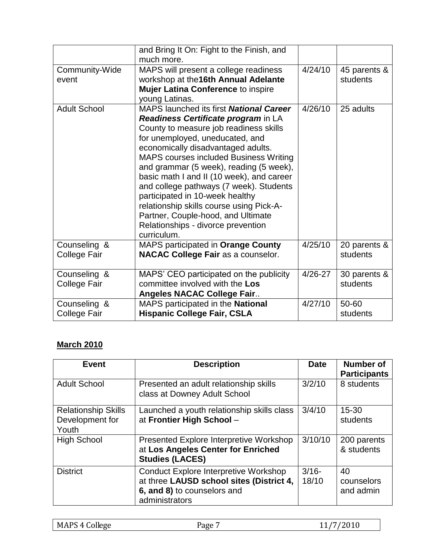|                              | and Bring It On: Fight to the Finish, and<br>much more.                                                                                                                                                                                                                                                                                                                                                                                                                                                                                                                |             |                          |
|------------------------------|------------------------------------------------------------------------------------------------------------------------------------------------------------------------------------------------------------------------------------------------------------------------------------------------------------------------------------------------------------------------------------------------------------------------------------------------------------------------------------------------------------------------------------------------------------------------|-------------|--------------------------|
| Community-Wide<br>event      | MAPS will present a college readiness<br>workshop at the 16th Annual Adelante<br><b>Mujer Latina Conference to inspire</b><br>young Latinas.                                                                                                                                                                                                                                                                                                                                                                                                                           | 4/24/10     | 45 parents &<br>students |
| <b>Adult School</b>          | MAPS launched its first <b>National Career</b><br>Readiness Certificate program in LA<br>County to measure job readiness skills<br>for unemployed, uneducated, and<br>economically disadvantaged adults.<br><b>MAPS courses included Business Writing</b><br>and grammar (5 week), reading (5 week),<br>basic math I and II (10 week), and career<br>and college pathways (7 week). Students<br>participated in 10-week healthy<br>relationship skills course using Pick-A-<br>Partner, Couple-hood, and Ultimate<br>Relationships - divorce prevention<br>curriculum. | 4/26/10     | 25 adults                |
| Counseling &<br>College Fair | MAPS participated in Orange County<br><b>NACAC College Fair as a counselor.</b>                                                                                                                                                                                                                                                                                                                                                                                                                                                                                        | 4/25/10     | 20 parents &<br>students |
| Counseling &<br>College Fair | MAPS' CEO participated on the publicity<br>committee involved with the Los<br><b>Angeles NACAC College Fair</b>                                                                                                                                                                                                                                                                                                                                                                                                                                                        | $4/26 - 27$ | 30 parents &<br>students |
| Counseling &<br>College Fair | MAPS participated in the National<br><b>Hispanic College Fair, CSLA</b>                                                                                                                                                                                                                                                                                                                                                                                                                                                                                                | 4/27/10     | 50-60<br>students        |

# **March 2010**

| <b>Event</b>                                           | <b>Description</b>                                                                                                                        | <b>Date</b>       | <b>Number of</b><br><b>Participants</b> |
|--------------------------------------------------------|-------------------------------------------------------------------------------------------------------------------------------------------|-------------------|-----------------------------------------|
| <b>Adult School</b>                                    | Presented an adult relationship skills<br>class at Downey Adult School                                                                    | 3/2/10            | 8 students                              |
| <b>Relationship Skills</b><br>Development for<br>Youth | Launched a youth relationship skills class<br>at Frontier High School -                                                                   | 3/4/10            | $15 - 30$<br>students                   |
| <b>High School</b>                                     | Presented Explore Interpretive Workshop<br>at Los Angeles Center for Enriched<br><b>Studies (LACES)</b>                                   | 3/10/10           | 200 parents<br>& students               |
| <b>District</b>                                        | <b>Conduct Explore Interpretive Workshop</b><br>at three LAUSD school sites (District 4,<br>6, and 8) to counselors and<br>administrators | $3/16 -$<br>18/10 | 40<br>counselors<br>and admin           |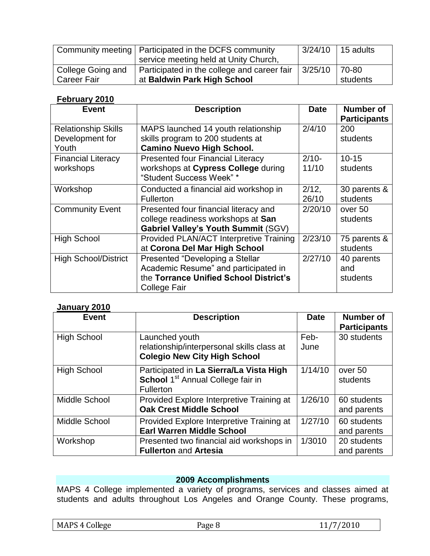|                   | Community meeting   Participated in the DCFS community |         | $3/24/10$   15 adults |
|-------------------|--------------------------------------------------------|---------|-----------------------|
|                   | service meeting held at Unity Church,                  |         |                       |
| College Going and | Participated in the college and career fair            | 3/25/10 | 70-80                 |
| l Career Fair     | at Baldwin Park High School                            |         | students              |

# **February 2010**

| <b>Event</b>                | <b>Description</b>                                              | <b>Date</b>       | Number of<br><b>Participants</b> |
|-----------------------------|-----------------------------------------------------------------|-------------------|----------------------------------|
| <b>Relationship Skills</b>  | MAPS launched 14 youth relationship                             | 2/4/10            | 200                              |
| Development for             | skills program to 200 students at                               |                   | students                         |
| Youth                       | <b>Camino Nuevo High School.</b>                                |                   |                                  |
| <b>Financial Literacy</b>   | <b>Presented four Financial Literacy</b>                        | $2/10-$           | $10 - 15$                        |
| workshops                   | workshops at Cypress College during<br>"Student Success Week" * | 11/10             | students                         |
| Workshop                    | Conducted a financial aid workshop in<br><b>Fullerton</b>       | $2/12$ ,<br>26/10 | 30 parents &<br>students         |
| <b>Community Event</b>      | Presented four financial literacy and                           | 2/20/10           | over 50                          |
|                             | college readiness workshops at San                              |                   | students                         |
|                             | Gabriel Valley's Youth Summit (SGV)                             |                   |                                  |
| <b>High School</b>          | Provided PLAN/ACT Interpretive Training                         | 2/23/10           | 75 parents &                     |
|                             | at Corona Del Mar High School                                   |                   | students                         |
| <b>High School/District</b> | Presented "Developing a Stellar                                 | 2/27/10           | 40 parents                       |
|                             | Academic Resume" and participated in                            |                   | and                              |
|                             | the Torrance Unified School District's                          |                   | students                         |
|                             | College Fair                                                    |                   |                                  |

## **January 2010**

| <b>Event</b>       | <b>Description</b>                                                                                           | <b>Date</b>  | <b>Number of</b><br><b>Participants</b> |
|--------------------|--------------------------------------------------------------------------------------------------------------|--------------|-----------------------------------------|
| <b>High School</b> | Launched youth<br>relationship/interpersonal skills class at<br><b>Colegio New City High School</b>          | Feb-<br>June | 30 students                             |
| <b>High School</b> | Participated in La Sierra/La Vista High<br>School 1 <sup>st</sup> Annual College fair in<br><b>Fullerton</b> | 1/14/10      | over 50<br>students                     |
| Middle School      | Provided Explore Interpretive Training at<br><b>Oak Crest Middle School</b>                                  | 1/26/10      | 60 students<br>and parents              |
| Middle School      | Provided Explore Interpretive Training at<br><b>Earl Warren Middle School</b>                                | 1/27/10      | 60 students<br>and parents              |
| Workshop           | Presented two financial aid workshops in<br><b>Fullerton and Artesia</b>                                     | 1/3010       | 20 students<br>and parents              |

# **2009 Accomplishments**

MAPS 4 College implemented a variety of programs, services and classes aimed at students and adults throughout Los Angeles and Orange County. These programs,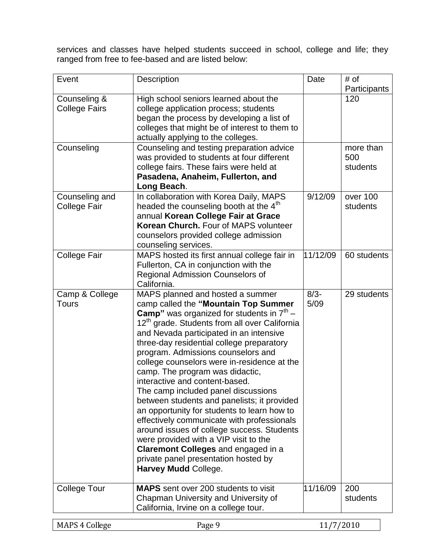services and classes have helped students succeed in school, college and life; they ranged from free to fee-based and are listed below:

| Event                | Description                                               | Date     | # of         |
|----------------------|-----------------------------------------------------------|----------|--------------|
|                      |                                                           |          | Participants |
| Counseling &         | High school seniors learned about the                     |          | 120          |
| <b>College Fairs</b> | college application process; students                     |          |              |
|                      | began the process by developing a list of                 |          |              |
|                      | colleges that might be of interest to them to             |          |              |
|                      | actually applying to the colleges.                        |          |              |
| Counseling           | Counseling and testing preparation advice                 |          | more than    |
|                      | was provided to students at four different                |          | 500          |
|                      | college fairs. These fairs were held at                   |          | students     |
|                      | Pasadena, Anaheim, Fullerton, and                         |          |              |
|                      | Long Beach.                                               |          |              |
| Counseling and       | In collaboration with Korea Daily, MAPS                   | 9/12/09  | over 100     |
| <b>College Fair</b>  | headed the counseling booth at the 4 <sup>th</sup>        |          | students     |
|                      | annual Korean College Fair at Grace                       |          |              |
|                      | Korean Church. Four of MAPS volunteer                     |          |              |
|                      | counselors provided college admission                     |          |              |
|                      | counseling services.                                      |          |              |
| <b>College Fair</b>  | MAPS hosted its first annual college fair in              | 11/12/09 | 60 students  |
|                      | Fullerton, CA in conjunction with the                     |          |              |
|                      | <b>Regional Admission Counselors of</b>                   |          |              |
|                      | California.                                               |          |              |
| Camp & College       | MAPS planned and hosted a summer                          | $8/3 -$  | 29 students  |
| <b>Tours</b>         | camp called the "Mountain Top Summer                      | 5/09     |              |
|                      | <b>Camp</b> " was organized for students in $7th$ –       |          |              |
|                      | 12 <sup>th</sup> grade. Students from all over California |          |              |
|                      | and Nevada participated in an intensive                   |          |              |
|                      | three-day residential college preparatory                 |          |              |
|                      | program. Admissions counselors and                        |          |              |
|                      | college counselors were in-residence at the               |          |              |
|                      | camp. The program was didactic,                           |          |              |
|                      | interactive and content-based.                            |          |              |
|                      | The camp included panel discussions                       |          |              |
|                      | between students and panelists; it provided               |          |              |
|                      | an opportunity for students to learn how to               |          |              |
|                      | effectively communicate with professionals                |          |              |
|                      | around issues of college success. Students                |          |              |
|                      | were provided with a VIP visit to the                     |          |              |
|                      | <b>Claremont Colleges and engaged in a</b>                |          |              |
|                      | private panel presentation hosted by                      |          |              |
|                      | Harvey Mudd College.                                      |          |              |
|                      |                                                           |          |              |
| <b>College Tour</b>  | <b>MAPS</b> sent over 200 students to visit               | 11/16/09 | 200          |
|                      | Chapman University and University of                      |          | students     |
|                      | California, Irvine on a college tour.                     |          |              |
|                      |                                                           |          |              |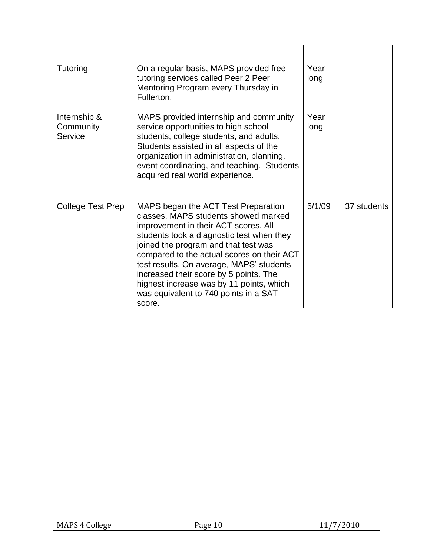| Tutoring                             | On a regular basis, MAPS provided free<br>tutoring services called Peer 2 Peer<br>Mentoring Program every Thursday in<br>Fullerton.                                                                                                                                                                                                                                                                                                         | Year<br>long |             |
|--------------------------------------|---------------------------------------------------------------------------------------------------------------------------------------------------------------------------------------------------------------------------------------------------------------------------------------------------------------------------------------------------------------------------------------------------------------------------------------------|--------------|-------------|
| Internship &<br>Community<br>Service | MAPS provided internship and community<br>service opportunities to high school<br>students, college students, and adults.<br>Students assisted in all aspects of the<br>organization in administration, planning,<br>event coordinating, and teaching. Students<br>acquired real world experience.                                                                                                                                          | Year<br>long |             |
| College Test Prep                    | MAPS began the ACT Test Preparation<br>classes. MAPS students showed marked<br>improvement in their ACT scores. All<br>students took a diagnostic test when they<br>joined the program and that test was<br>compared to the actual scores on their ACT<br>test results. On average, MAPS' students<br>increased their score by 5 points. The<br>highest increase was by 11 points, which<br>was equivalent to 740 points in a SAT<br>score. | 5/1/09       | 37 students |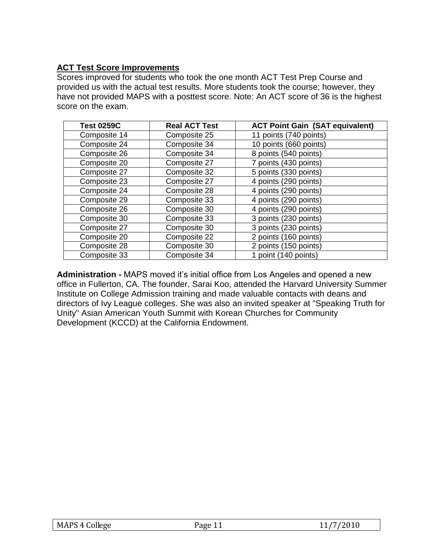# **ACT Test Score Improvements**

Scores improved for students who took the one month ACT Test Prep Course and provided us with the actual test results. More students took the course; however, they have not provided MAPS with a posttest score. Note: An ACT score of 36 is the highest score on the exam.

| <b>Test 0259C</b> | <b>Real ACT Test</b> | <b>ACT Point Gain (SAT equivalent)</b> |
|-------------------|----------------------|----------------------------------------|
| Composite 14      | Composite 25         | 11 points (740 points)                 |
| Composite 24      | Composite 34         | 10 points (660 points)                 |
| Composite 26      | Composite 34         | 8 points (540 points)                  |
| Composite 20      | Composite 27         | 7 points (430 points)                  |
| Composite 27      | Composite 32         | 5 points (330 points)                  |
| Composite 23      | Composite 27         | 4 points (290 points)                  |
| Composite 24      | Composite 28         | 4 points (290 points)                  |
| Composite 29      | Composite 33         | 4 points (290 points)                  |
| Composite 26      | Composite 30         | 4 points (290 points)                  |
| Composite 30      | Composite 33         | 3 points (230 points)                  |
| Composite 27      | Composite 30         | 3 points (230 points)                  |
| Composite 20      | Composite 22         | 2 points (160 points)                  |
| Composite 28      | Composite 30         | 2 points (150 points)                  |
| Composite 33      | Composite 34         | 1 point (140 points)                   |

**Administration -** MAPS moved it's initial office from Los Angeles and opened a new office in Fullerton, CA. The founder, Sarai Koo, attended the Harvard University Summer Institute on College Admission training and made valuable contacts with deans and directors of Ivy League colleges. She was also an invited speaker at "Speaking Truth for Unity" Asian American Youth Summit with Korean Churches for Community Development (KCCD) at the California Endowment.